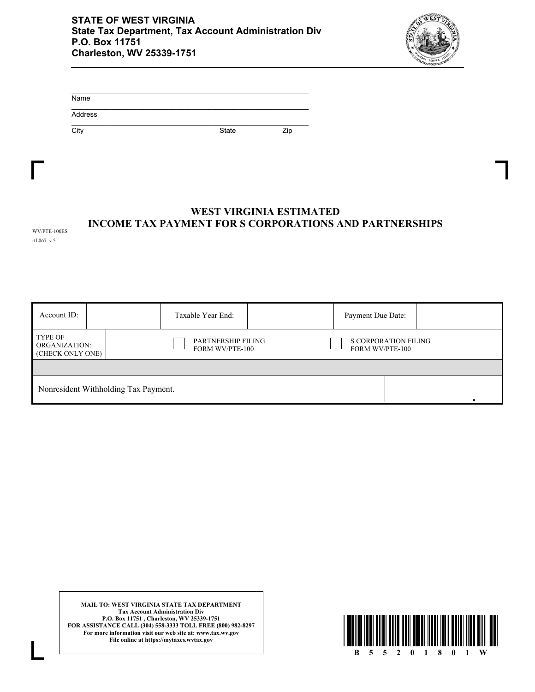

| Name    |       |     |
|---------|-------|-----|
| Address |       |     |
| City    | State | Zip |

## **INCOME TAX PAYMENT FOR S CORPORATIONS AND PARTNERSHIPS WEST VIRGINIA ESTIMATED**

WV/PTE-100ES rtL067 v.5

| Account ID:                                         |  |                                                     | Taxable Year End: |                                                       | Payment Due Date: |  |
|-----------------------------------------------------|--|-----------------------------------------------------|-------------------|-------------------------------------------------------|-------------------|--|
| <b>TYPE OF</b><br>ORGANIZATION:<br>(CHECK ONLY ONE) |  | <b>PARTNERSHIP FILING</b><br><b>FORM WV/PTE-100</b> |                   | <b>S CORPORATION FILING</b><br><b>FORM WV/PTE-100</b> |                   |  |
|                                                     |  |                                                     |                   |                                                       |                   |  |
| Nonresident Withholding Tax Payment.                |  |                                                     |                   |                                                       |                   |  |

**MAIL TO: WEST VIRGINIA STATE TAX DEPARTMENT Tax Account Administration Div P.O. Box 11751 , Charleston, WV 25339-1751 FOR ASSISTANCE CALL (304) 558-3333 TOLL FREE (800) 982-8297 For more information visit our web site at: www.tax.wv.gov File online at https://mytaxes.wvtax.gov**